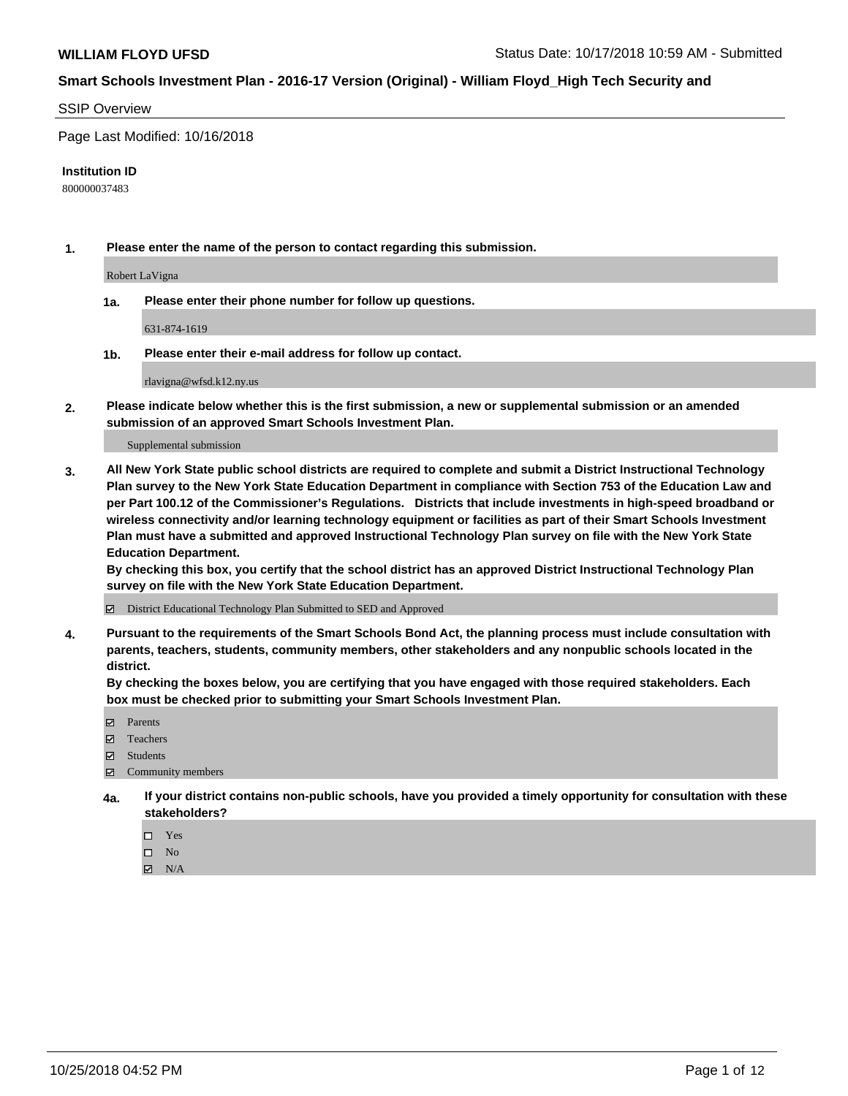### SSIP Overview

Page Last Modified: 10/16/2018

#### **Institution ID**

800000037483

**1. Please enter the name of the person to contact regarding this submission.**

Robert LaVigna

**1a. Please enter their phone number for follow up questions.**

631-874-1619

**1b. Please enter their e-mail address for follow up contact.**

rlavigna@wfsd.k12.ny.us

**2. Please indicate below whether this is the first submission, a new or supplemental submission or an amended submission of an approved Smart Schools Investment Plan.**

Supplemental submission

**3. All New York State public school districts are required to complete and submit a District Instructional Technology Plan survey to the New York State Education Department in compliance with Section 753 of the Education Law and per Part 100.12 of the Commissioner's Regulations. Districts that include investments in high-speed broadband or wireless connectivity and/or learning technology equipment or facilities as part of their Smart Schools Investment Plan must have a submitted and approved Instructional Technology Plan survey on file with the New York State Education Department.** 

**By checking this box, you certify that the school district has an approved District Instructional Technology Plan survey on file with the New York State Education Department.**

District Educational Technology Plan Submitted to SED and Approved

**4. Pursuant to the requirements of the Smart Schools Bond Act, the planning process must include consultation with parents, teachers, students, community members, other stakeholders and any nonpublic schools located in the district.** 

**By checking the boxes below, you are certifying that you have engaged with those required stakeholders. Each box must be checked prior to submitting your Smart Schools Investment Plan.**

- **□** Parents
- Teachers
- Students
- $\boxtimes$  Community members
- **4a. If your district contains non-public schools, have you provided a timely opportunity for consultation with these stakeholders?**
	- $\Box$  Yes
	- $\qquad \qquad$  No
	- $\blacksquare$  N/A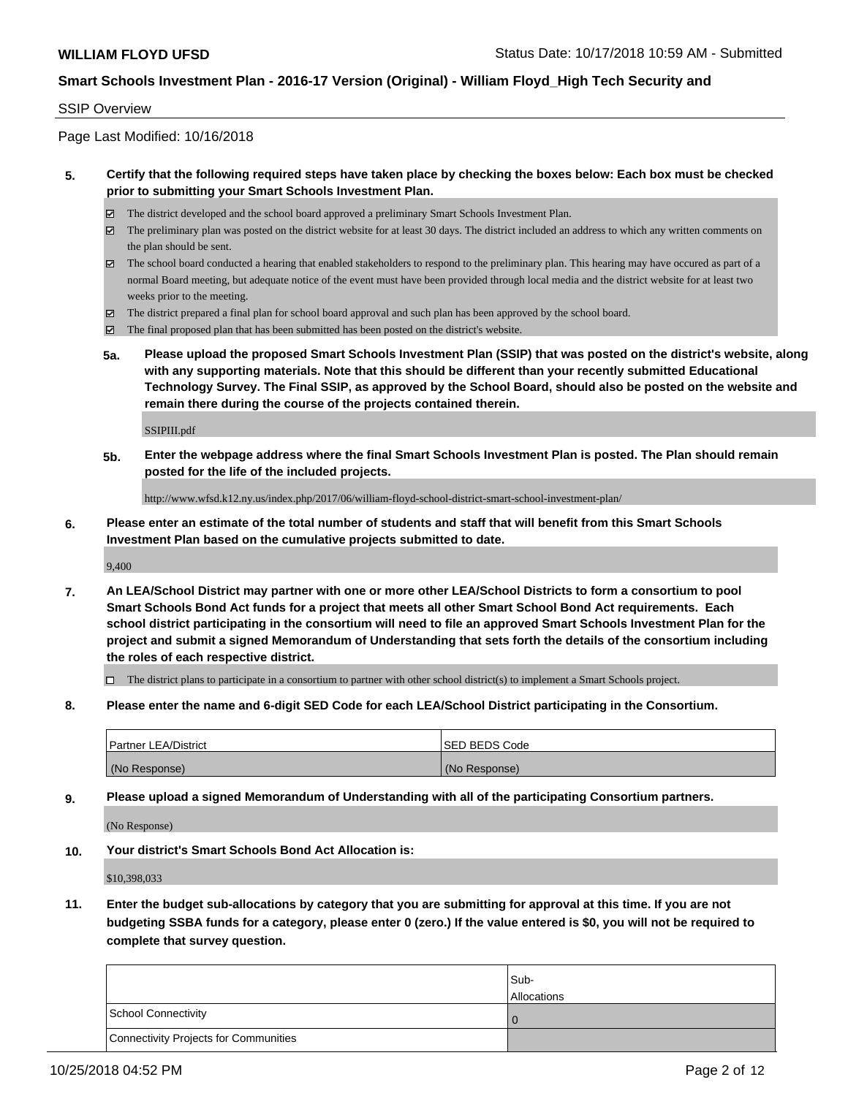### SSIP Overview

Page Last Modified: 10/16/2018

### **5. Certify that the following required steps have taken place by checking the boxes below: Each box must be checked prior to submitting your Smart Schools Investment Plan.**

- The district developed and the school board approved a preliminary Smart Schools Investment Plan.
- $\boxtimes$  The preliminary plan was posted on the district website for at least 30 days. The district included an address to which any written comments on the plan should be sent.
- $\boxtimes$  The school board conducted a hearing that enabled stakeholders to respond to the preliminary plan. This hearing may have occured as part of a normal Board meeting, but adequate notice of the event must have been provided through local media and the district website for at least two weeks prior to the meeting.
- The district prepared a final plan for school board approval and such plan has been approved by the school board.
- $\boxtimes$  The final proposed plan that has been submitted has been posted on the district's website.
- **5a. Please upload the proposed Smart Schools Investment Plan (SSIP) that was posted on the district's website, along with any supporting materials. Note that this should be different than your recently submitted Educational Technology Survey. The Final SSIP, as approved by the School Board, should also be posted on the website and remain there during the course of the projects contained therein.**

SSIPIII.pdf

**5b. Enter the webpage address where the final Smart Schools Investment Plan is posted. The Plan should remain posted for the life of the included projects.**

http://www.wfsd.k12.ny.us/index.php/2017/06/william-floyd-school-district-smart-school-investment-plan/

**6. Please enter an estimate of the total number of students and staff that will benefit from this Smart Schools Investment Plan based on the cumulative projects submitted to date.**

9,400

**7. An LEA/School District may partner with one or more other LEA/School Districts to form a consortium to pool Smart Schools Bond Act funds for a project that meets all other Smart School Bond Act requirements. Each school district participating in the consortium will need to file an approved Smart Schools Investment Plan for the project and submit a signed Memorandum of Understanding that sets forth the details of the consortium including the roles of each respective district.**

 $\Box$  The district plans to participate in a consortium to partner with other school district(s) to implement a Smart Schools project.

**8. Please enter the name and 6-digit SED Code for each LEA/School District participating in the Consortium.**

| <b>Partner LEA/District</b> | <b>ISED BEDS Code</b> |
|-----------------------------|-----------------------|
| (No Response)               | (No Response)         |

**9. Please upload a signed Memorandum of Understanding with all of the participating Consortium partners.**

(No Response)

**10. Your district's Smart Schools Bond Act Allocation is:**

\$10,398,033

**11. Enter the budget sub-allocations by category that you are submitting for approval at this time. If you are not budgeting SSBA funds for a category, please enter 0 (zero.) If the value entered is \$0, you will not be required to complete that survey question.**

|                                       | Sub-<br><b>Allocations</b> |
|---------------------------------------|----------------------------|
| School Connectivity                   |                            |
| Connectivity Projects for Communities |                            |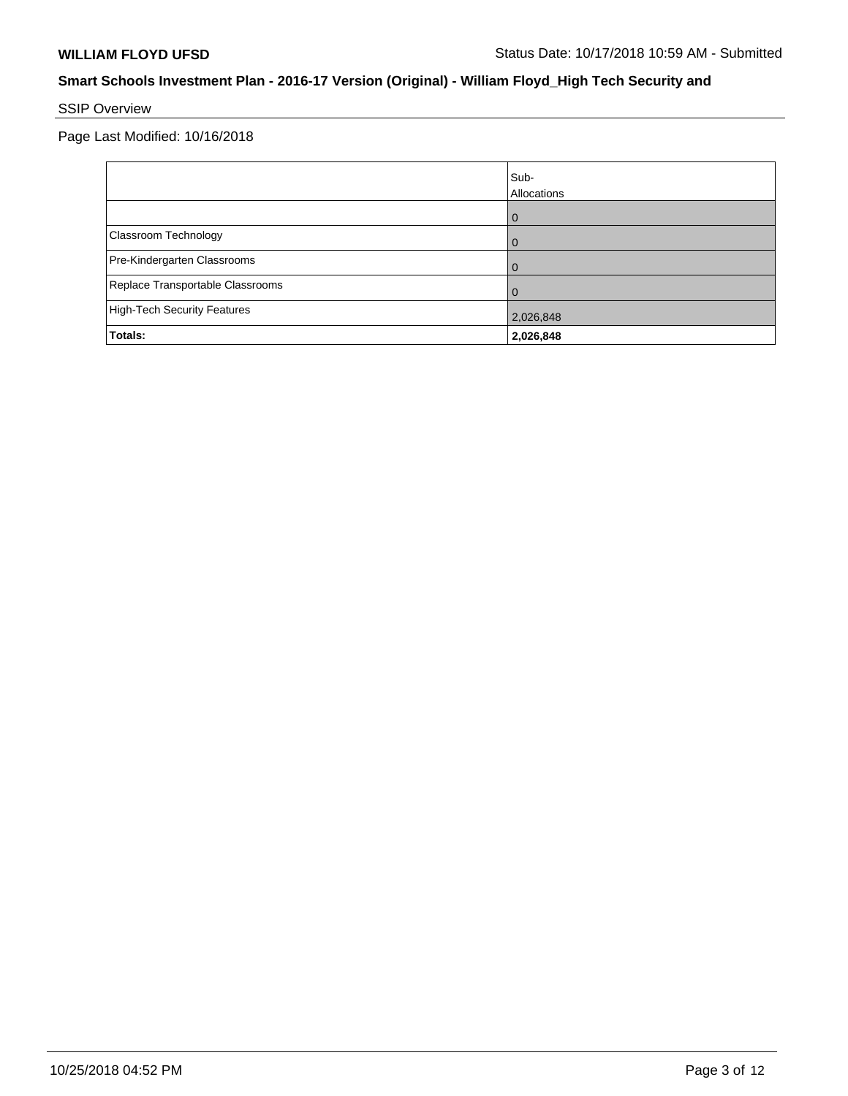# SSIP Overview

|                                    | Sub-<br>Allocations |
|------------------------------------|---------------------|
|                                    | ω                   |
| Classroom Technology               |                     |
| Pre-Kindergarten Classrooms        |                     |
| Replace Transportable Classrooms   |                     |
| <b>High-Tech Security Features</b> | 2,026,848           |
| Totals:                            | 2,026,848           |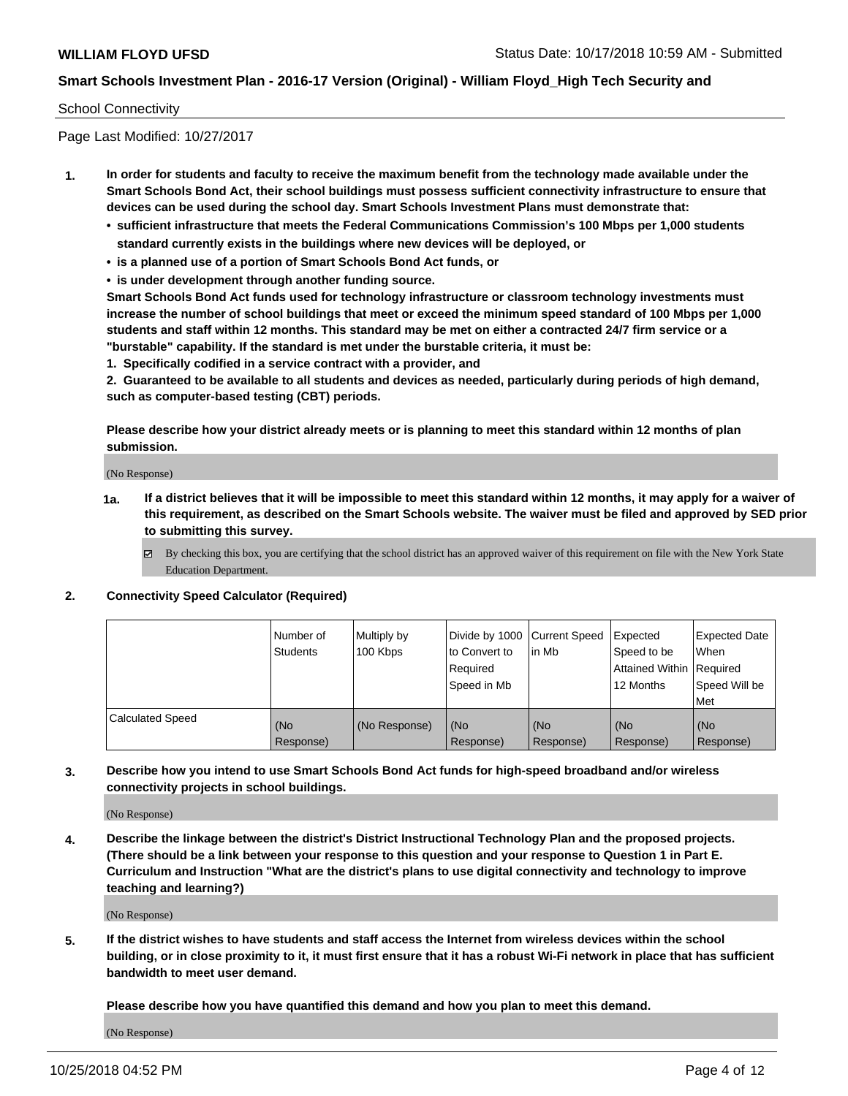### School Connectivity

Page Last Modified: 10/27/2017

- **1. In order for students and faculty to receive the maximum benefit from the technology made available under the Smart Schools Bond Act, their school buildings must possess sufficient connectivity infrastructure to ensure that devices can be used during the school day. Smart Schools Investment Plans must demonstrate that:**
	- **• sufficient infrastructure that meets the Federal Communications Commission's 100 Mbps per 1,000 students standard currently exists in the buildings where new devices will be deployed, or**
	- **• is a planned use of a portion of Smart Schools Bond Act funds, or**
	- **• is under development through another funding source.**

**Smart Schools Bond Act funds used for technology infrastructure or classroom technology investments must increase the number of school buildings that meet or exceed the minimum speed standard of 100 Mbps per 1,000 students and staff within 12 months. This standard may be met on either a contracted 24/7 firm service or a "burstable" capability. If the standard is met under the burstable criteria, it must be:**

**1. Specifically codified in a service contract with a provider, and**

**2. Guaranteed to be available to all students and devices as needed, particularly during periods of high demand, such as computer-based testing (CBT) periods.**

**Please describe how your district already meets or is planning to meet this standard within 12 months of plan submission.**

(No Response)

- **1a. If a district believes that it will be impossible to meet this standard within 12 months, it may apply for a waiver of this requirement, as described on the Smart Schools website. The waiver must be filed and approved by SED prior to submitting this survey.**
	- By checking this box, you are certifying that the school district has an approved waiver of this requirement on file with the New York State Education Department.

### **2. Connectivity Speed Calculator (Required)**

|                         | Number of<br>Students | Multiply by<br>100 Kbps | Divide by 1000   Current Speed<br>to Convert to<br>Required<br>Speed in Mb | lin Mb           | Expected<br>Speed to be<br>Attained Within   Required<br>12 Months | <b>Expected Date</b><br>When<br>Speed Will be<br>l Met |
|-------------------------|-----------------------|-------------------------|----------------------------------------------------------------------------|------------------|--------------------------------------------------------------------|--------------------------------------------------------|
| <b>Calculated Speed</b> | (No<br>Response)      | (No Response)           | (No<br>Response)                                                           | (No<br>Response) | l (No<br>Response)                                                 | (No<br>Response)                                       |

### **3. Describe how you intend to use Smart Schools Bond Act funds for high-speed broadband and/or wireless connectivity projects in school buildings.**

(No Response)

**4. Describe the linkage between the district's District Instructional Technology Plan and the proposed projects. (There should be a link between your response to this question and your response to Question 1 in Part E. Curriculum and Instruction "What are the district's plans to use digital connectivity and technology to improve teaching and learning?)**

(No Response)

**5. If the district wishes to have students and staff access the Internet from wireless devices within the school building, or in close proximity to it, it must first ensure that it has a robust Wi-Fi network in place that has sufficient bandwidth to meet user demand.**

**Please describe how you have quantified this demand and how you plan to meet this demand.**

(No Response)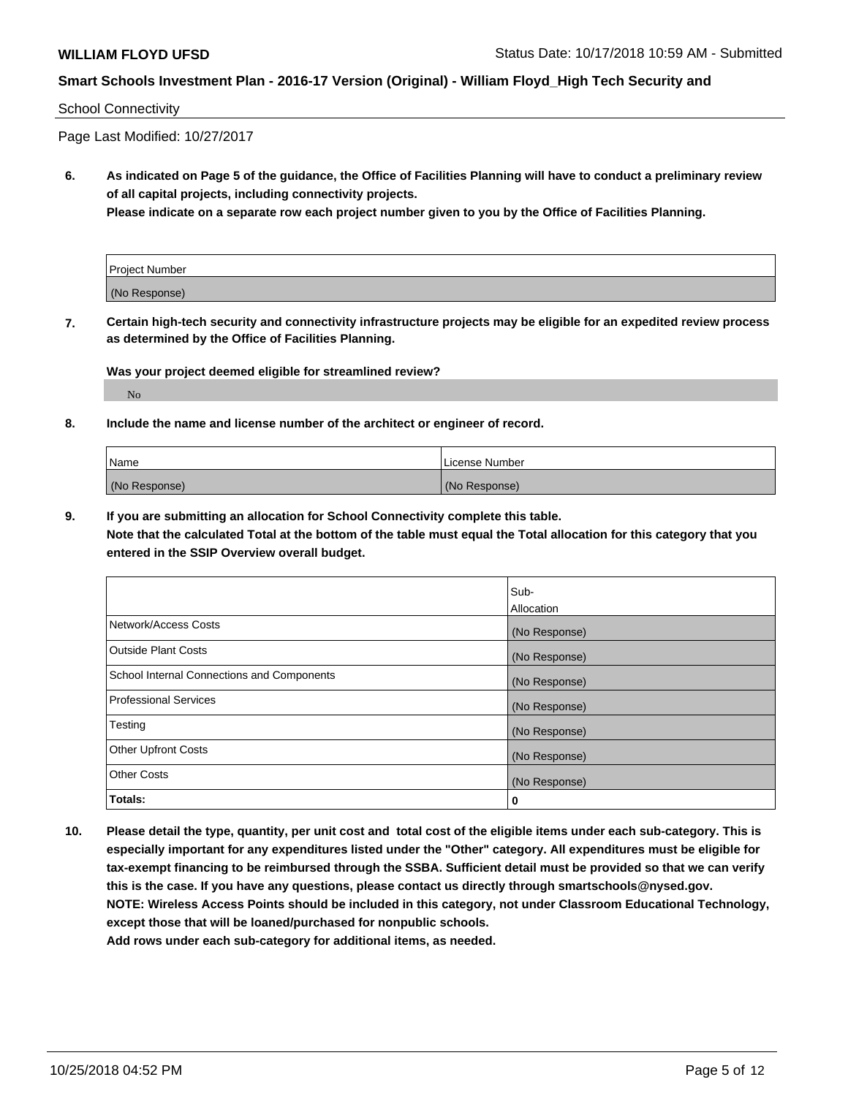### School Connectivity

Page Last Modified: 10/27/2017

**6. As indicated on Page 5 of the guidance, the Office of Facilities Planning will have to conduct a preliminary review of all capital projects, including connectivity projects.**

**Please indicate on a separate row each project number given to you by the Office of Facilities Planning.**

| <b>Project Number</b> |  |
|-----------------------|--|
| (No Response)         |  |

**7. Certain high-tech security and connectivity infrastructure projects may be eligible for an expedited review process as determined by the Office of Facilities Planning.**

**Was your project deemed eligible for streamlined review?**

No

**8. Include the name and license number of the architect or engineer of record.**

| Name          | l License Number |
|---------------|------------------|
| (No Response) | (No Response)    |

**9. If you are submitting an allocation for School Connectivity complete this table. Note that the calculated Total at the bottom of the table must equal the Total allocation for this category that you entered in the SSIP Overview overall budget.** 

|                                                   | Sub-          |
|---------------------------------------------------|---------------|
|                                                   | Allocation    |
| Network/Access Costs                              | (No Response) |
| Outside Plant Costs                               | (No Response) |
| <b>School Internal Connections and Components</b> | (No Response) |
| <b>Professional Services</b>                      | (No Response) |
| Testing                                           | (No Response) |
| <b>Other Upfront Costs</b>                        | (No Response) |
| <b>Other Costs</b>                                | (No Response) |
| Totals:                                           | 0             |

**10. Please detail the type, quantity, per unit cost and total cost of the eligible items under each sub-category. This is especially important for any expenditures listed under the "Other" category. All expenditures must be eligible for tax-exempt financing to be reimbursed through the SSBA. Sufficient detail must be provided so that we can verify this is the case. If you have any questions, please contact us directly through smartschools@nysed.gov. NOTE: Wireless Access Points should be included in this category, not under Classroom Educational Technology, except those that will be loaned/purchased for nonpublic schools.**

**Add rows under each sub-category for additional items, as needed.**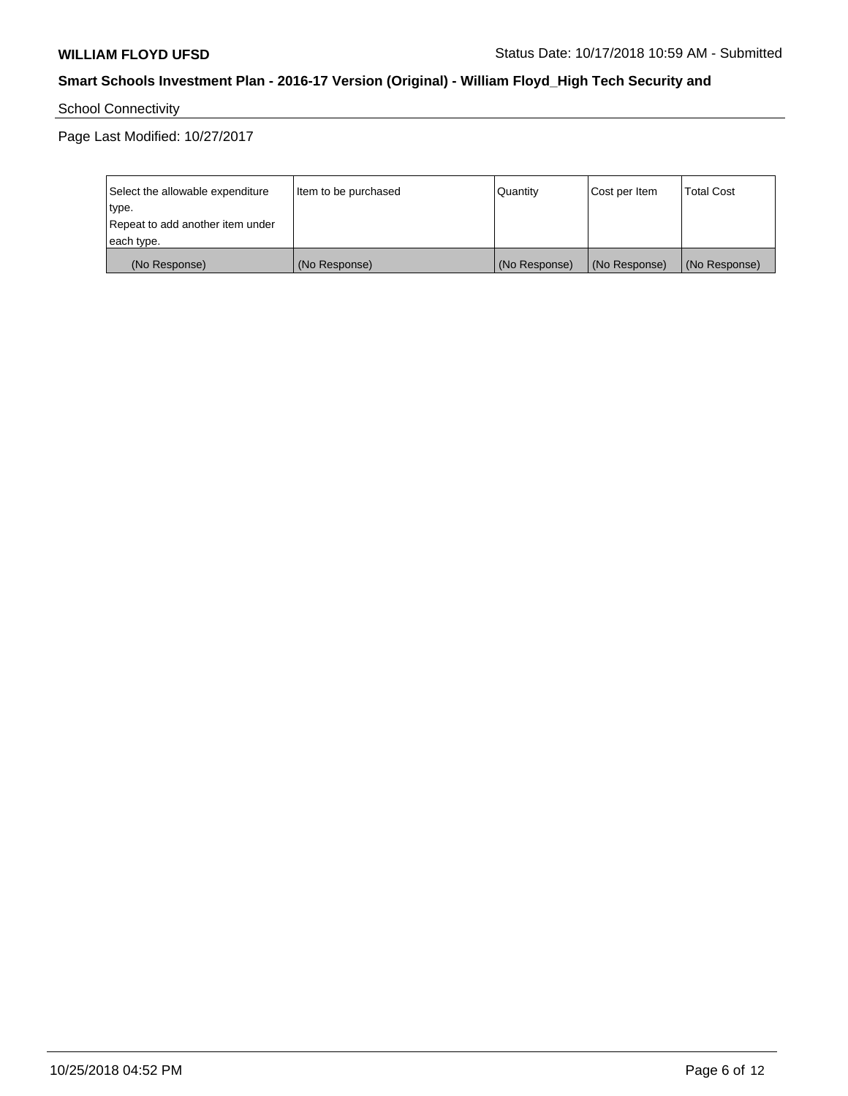School Connectivity

| Select the allowable expenditure<br>type.<br>Repeat to add another item under | Item to be purchased | Quantity      | Cost per Item | <b>Total Cost</b> |
|-------------------------------------------------------------------------------|----------------------|---------------|---------------|-------------------|
| each type.                                                                    |                      |               |               |                   |
| (No Response)                                                                 | (No Response)        | (No Response) | (No Response) | (No Response)     |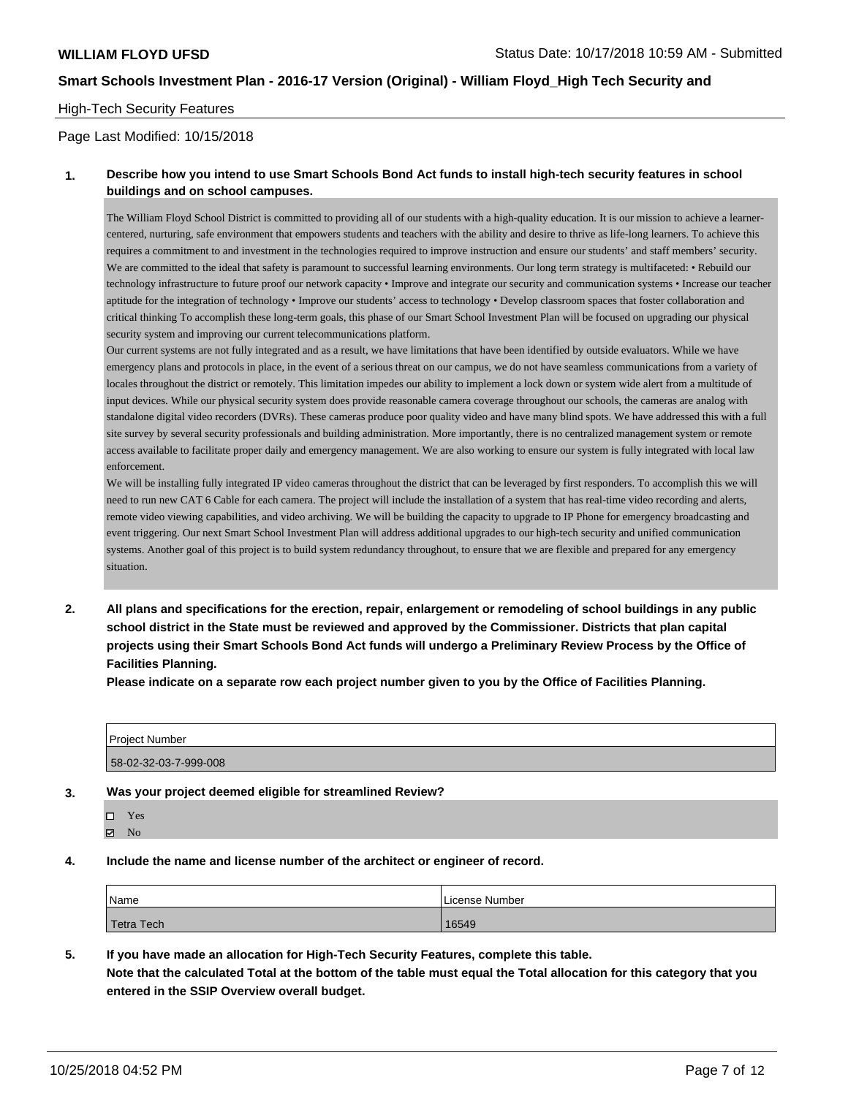### High-Tech Security Features

Page Last Modified: 10/15/2018

### **1. Describe how you intend to use Smart Schools Bond Act funds to install high-tech security features in school buildings and on school campuses.**

The William Floyd School District is committed to providing all of our students with a high-quality education. It is our mission to achieve a learnercentered, nurturing, safe environment that empowers students and teachers with the ability and desire to thrive as life-long learners. To achieve this requires a commitment to and investment in the technologies required to improve instruction and ensure our students' and staff members' security. We are committed to the ideal that safety is paramount to successful learning environments. Our long term strategy is multifaceted: • Rebuild our technology infrastructure to future proof our network capacity • Improve and integrate our security and communication systems • Increase our teacher aptitude for the integration of technology • Improve our students' access to technology • Develop classroom spaces that foster collaboration and critical thinking To accomplish these long-term goals, this phase of our Smart School Investment Plan will be focused on upgrading our physical security system and improving our current telecommunications platform.

Our current systems are not fully integrated and as a result, we have limitations that have been identified by outside evaluators. While we have emergency plans and protocols in place, in the event of a serious threat on our campus, we do not have seamless communications from a variety of locales throughout the district or remotely. This limitation impedes our ability to implement a lock down or system wide alert from a multitude of input devices. While our physical security system does provide reasonable camera coverage throughout our schools, the cameras are analog with standalone digital video recorders (DVRs). These cameras produce poor quality video and have many blind spots. We have addressed this with a full site survey by several security professionals and building administration. More importantly, there is no centralized management system or remote access available to facilitate proper daily and emergency management. We are also working to ensure our system is fully integrated with local law enforcement.

We will be installing fully integrated IP video cameras throughout the district that can be leveraged by first responders. To accomplish this we will need to run new CAT 6 Cable for each camera. The project will include the installation of a system that has real-time video recording and alerts, remote video viewing capabilities, and video archiving. We will be building the capacity to upgrade to IP Phone for emergency broadcasting and event triggering. Our next Smart School Investment Plan will address additional upgrades to our high-tech security and unified communication systems. Another goal of this project is to build system redundancy throughout, to ensure that we are flexible and prepared for any emergency situation.

**2. All plans and specifications for the erection, repair, enlargement or remodeling of school buildings in any public school district in the State must be reviewed and approved by the Commissioner. Districts that plan capital projects using their Smart Schools Bond Act funds will undergo a Preliminary Review Process by the Office of Facilities Planning.** 

**Please indicate on a separate row each project number given to you by the Office of Facilities Planning.**

| Project Number        |  |  |
|-----------------------|--|--|
|                       |  |  |
| 58-02-32-03-7-999-008 |  |  |

#### **3. Was your project deemed eligible for streamlined Review?**

- Yes **Z** No
- **4. Include the name and license number of the architect or engineer of record.**

| Name       | License Number |
|------------|----------------|
| Tetra Tech | 16549          |

### **5. If you have made an allocation for High-Tech Security Features, complete this table.**

**Note that the calculated Total at the bottom of the table must equal the Total allocation for this category that you entered in the SSIP Overview overall budget.**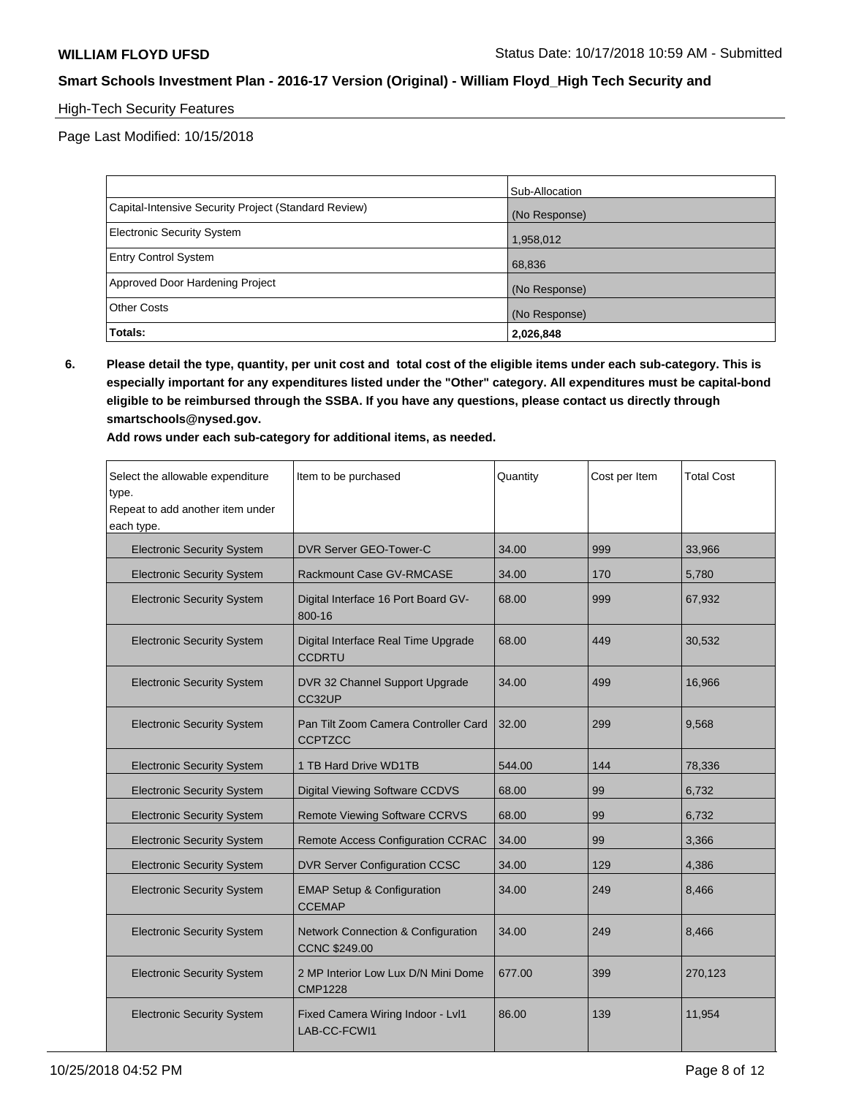## High-Tech Security Features

Page Last Modified: 10/15/2018

|                                                      | Sub-Allocation |
|------------------------------------------------------|----------------|
| Capital-Intensive Security Project (Standard Review) | (No Response)  |
| <b>Electronic Security System</b>                    | 1,958,012      |
| <b>Entry Control System</b>                          | 68,836         |
| Approved Door Hardening Project                      | (No Response)  |
| <b>Other Costs</b>                                   | (No Response)  |
| Totals:                                              | 2,026,848      |

**6. Please detail the type, quantity, per unit cost and total cost of the eligible items under each sub-category. This is especially important for any expenditures listed under the "Other" category. All expenditures must be capital-bond eligible to be reimbursed through the SSBA. If you have any questions, please contact us directly through smartschools@nysed.gov.**

**Add rows under each sub-category for additional items, as needed.**

| Select the allowable expenditure<br>type.<br>Repeat to add another item under<br>each type. | Item to be purchased                                                  | Quantity | Cost per Item | <b>Total Cost</b> |
|---------------------------------------------------------------------------------------------|-----------------------------------------------------------------------|----------|---------------|-------------------|
| <b>Electronic Security System</b>                                                           | DVR Server GEO-Tower-C                                                | 34.00    | 999           | 33,966            |
| <b>Electronic Security System</b>                                                           | Rackmount Case GV-RMCASE                                              | 34.00    | 170           | 5,780             |
| <b>Electronic Security System</b>                                                           | Digital Interface 16 Port Board GV-<br>800-16                         | 68.00    | 999           | 67,932            |
| <b>Electronic Security System</b>                                                           | Digital Interface Real Time Upgrade<br><b>CCDRTU</b>                  | 68.00    | 449           | 30,532            |
| <b>Electronic Security System</b>                                                           | DVR 32 Channel Support Upgrade<br>CC32UP                              | 34.00    | 499           | 16,966            |
| <b>Electronic Security System</b>                                                           | Pan Tilt Zoom Camera Controller Card<br><b>CCPTZCC</b>                | 32.00    | 299           | 9,568             |
| <b>Electronic Security System</b>                                                           | 1 TB Hard Drive WD1TB                                                 | 544.00   | 144           | 78,336            |
| <b>Electronic Security System</b>                                                           | Digital Viewing Software CCDVS                                        | 68.00    | 99            | 6,732             |
| <b>Electronic Security System</b>                                                           | <b>Remote Viewing Software CCRVS</b>                                  | 68.00    | 99            | 6,732             |
| <b>Electronic Security System</b>                                                           | Remote Access Configuration CCRAC                                     | 34.00    | 99            | 3,366             |
| <b>Electronic Security System</b>                                                           | <b>DVR Server Configuration CCSC</b>                                  | 34.00    | 129           | 4,386             |
| <b>Electronic Security System</b>                                                           | <b>EMAP Setup &amp; Configuration</b><br><b>CCEMAP</b>                | 34.00    | 249           | 8,466             |
| <b>Electronic Security System</b>                                                           | <b>Network Connection &amp; Configuration</b><br><b>CCNC \$249.00</b> | 34.00    | 249           | 8,466             |
| <b>Electronic Security System</b>                                                           | 2 MP Interior Low Lux D/N Mini Dome<br><b>CMP1228</b>                 | 677.00   | 399           | 270,123           |
| <b>Electronic Security System</b>                                                           | Fixed Camera Wiring Indoor - Lvl1<br>LAB-CC-FCWI1                     | 86.00    | 139           | 11,954            |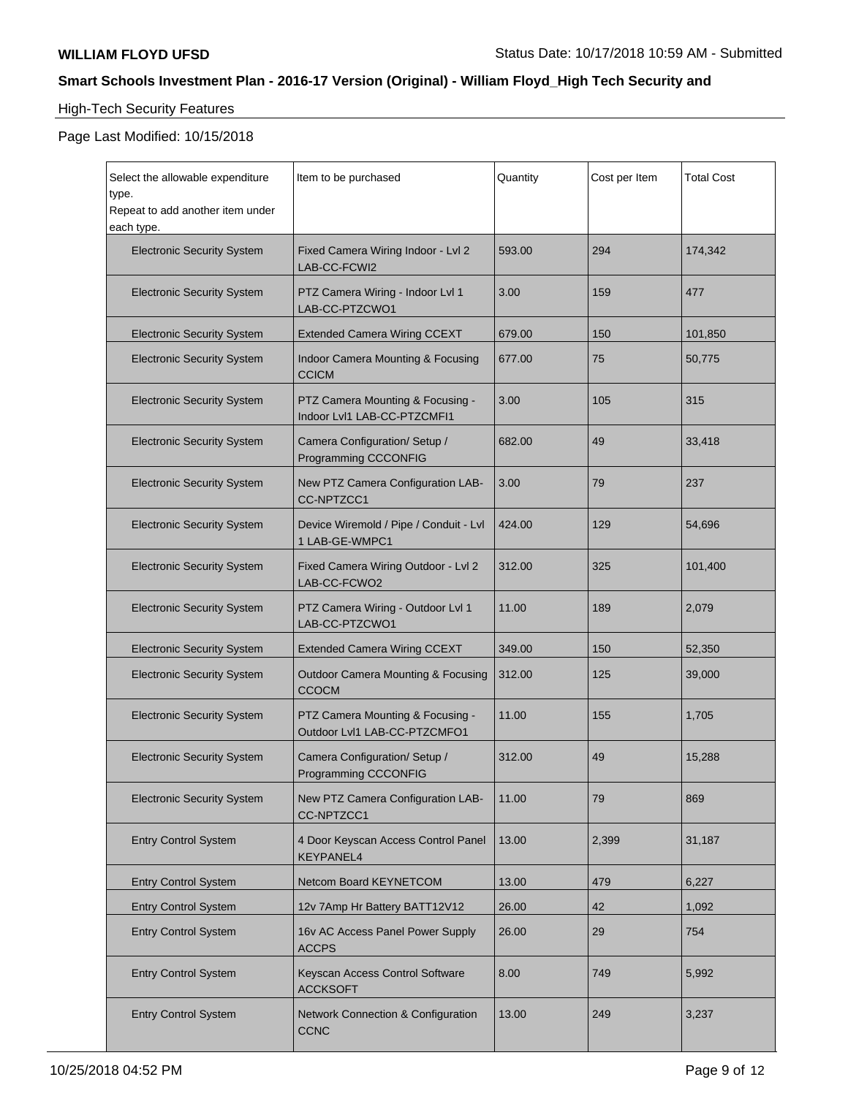# High-Tech Security Features

| Select the allowable expenditure<br>type.<br>Repeat to add another item under<br>each type. | Item to be purchased                                             | Quantity | Cost per Item | <b>Total Cost</b> |
|---------------------------------------------------------------------------------------------|------------------------------------------------------------------|----------|---------------|-------------------|
| <b>Electronic Security System</b>                                                           | Fixed Camera Wiring Indoor - Lvl 2<br>LAB-CC-FCWI2               | 593.00   | 294           | 174,342           |
| <b>Electronic Security System</b>                                                           | PTZ Camera Wiring - Indoor Lvl 1<br>LAB-CC-PTZCWO1               | 3.00     | 159           | 477               |
| <b>Electronic Security System</b>                                                           | <b>Extended Camera Wiring CCEXT</b>                              | 679.00   | 150           | 101,850           |
| <b>Electronic Security System</b>                                                           | Indoor Camera Mounting & Focusing<br><b>CCICM</b>                | 677.00   | 75            | 50,775            |
| <b>Electronic Security System</b>                                                           | PTZ Camera Mounting & Focusing -<br>Indoor Lvl1 LAB-CC-PTZCMFI1  | 3.00     | 105           | 315               |
| <b>Electronic Security System</b>                                                           | Camera Configuration/ Setup /<br>Programming CCCONFIG            | 682.00   | 49            | 33,418            |
| <b>Electronic Security System</b>                                                           | New PTZ Camera Configuration LAB-<br>CC-NPTZCC1                  | 3.00     | 79            | 237               |
| <b>Electronic Security System</b>                                                           | Device Wiremold / Pipe / Conduit - Lvl<br>1 LAB-GE-WMPC1         | 424.00   | 129           | 54,696            |
| <b>Electronic Security System</b>                                                           | Fixed Camera Wiring Outdoor - Lvl 2<br>LAB-CC-FCWO2              | 312.00   | 325           | 101,400           |
| <b>Electronic Security System</b>                                                           | PTZ Camera Wiring - Outdoor Lvl 1<br>LAB-CC-PTZCWO1              | 11.00    | 189           | 2,079             |
| <b>Electronic Security System</b>                                                           | <b>Extended Camera Wiring CCEXT</b>                              | 349.00   | 150           | 52,350            |
| <b>Electronic Security System</b>                                                           | <b>Outdoor Camera Mounting &amp; Focusing</b><br>CCOCM           | 312.00   | 125           | 39,000            |
| <b>Electronic Security System</b>                                                           | PTZ Camera Mounting & Focusing -<br>Outdoor Lvl1 LAB-CC-PTZCMFO1 | 11.00    | 155           | 1,705             |
| <b>Electronic Security System</b>                                                           | Camera Configuration/ Setup /<br>Programming CCCONFIG            | 312.00   | 49            | 15,288            |
| <b>Electronic Security System</b>                                                           | New PTZ Camera Configuration LAB-<br>CC-NPTZCC1                  | 11.00    | 79            | 869               |
| <b>Entry Control System</b>                                                                 | 4 Door Keyscan Access Control Panel<br><b>KEYPANEL4</b>          | 13.00    | 2,399         | 31,187            |
| <b>Entry Control System</b>                                                                 | Netcom Board KEYNETCOM                                           | 13.00    | 479           | 6,227             |
| <b>Entry Control System</b>                                                                 | 12v 7Amp Hr Battery BATT12V12                                    | 26.00    | 42            | 1,092             |
| <b>Entry Control System</b>                                                                 | 16v AC Access Panel Power Supply<br><b>ACCPS</b>                 | 26.00    | 29            | 754               |
| <b>Entry Control System</b>                                                                 | Keyscan Access Control Software<br><b>ACCKSOFT</b>               | 8.00     | 749           | 5,992             |
| <b>Entry Control System</b>                                                                 | Network Connection & Configuration<br><b>CCNC</b>                | 13.00    | 249           | 3,237             |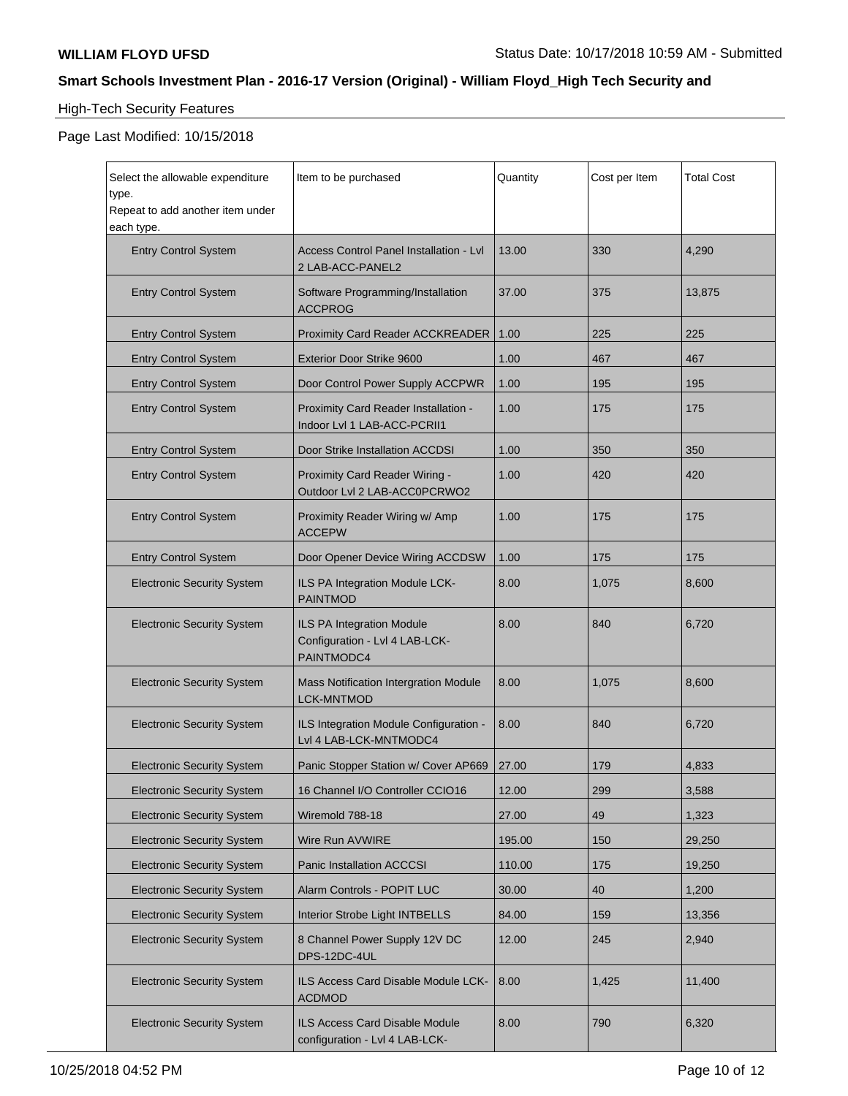# High-Tech Security Features

| Select the allowable expenditure<br>type.      | Item to be purchased                                                      | Quantity | Cost per Item | <b>Total Cost</b> |
|------------------------------------------------|---------------------------------------------------------------------------|----------|---------------|-------------------|
| Repeat to add another item under<br>each type. |                                                                           |          |               |                   |
| <b>Entry Control System</b>                    | <b>Access Control Panel Installation - Lyl</b><br>2 LAB-ACC-PANEL2        | 13.00    | 330           | 4,290             |
| <b>Entry Control System</b>                    | Software Programming/Installation<br><b>ACCPROG</b>                       | 37.00    | 375           | 13,875            |
| <b>Entry Control System</b>                    | <b>Proximity Card Reader ACCKREADER</b>                                   | 1.00     | 225           | 225               |
| <b>Entry Control System</b>                    | <b>Exterior Door Strike 9600</b>                                          | 1.00     | 467           | 467               |
| <b>Entry Control System</b>                    | Door Control Power Supply ACCPWR                                          | 1.00     | 195           | 195               |
| <b>Entry Control System</b>                    | Proximity Card Reader Installation -<br>Indoor Lvl 1 LAB-ACC-PCRII1       | 1.00     | 175           | 175               |
| <b>Entry Control System</b>                    | Door Strike Installation ACCDSI                                           | 1.00     | 350           | 350               |
| <b>Entry Control System</b>                    | Proximity Card Reader Wiring -<br>Outdoor Lvl 2 LAB-ACC0PCRWO2            | 1.00     | 420           | 420               |
| <b>Entry Control System</b>                    | Proximity Reader Wiring w/ Amp<br><b>ACCEPW</b>                           | 1.00     | 175           | 175               |
| <b>Entry Control System</b>                    | Door Opener Device Wiring ACCDSW                                          | 1.00     | 175           | 175               |
| <b>Electronic Security System</b>              | ILS PA Integration Module LCK-<br><b>PAINTMOD</b>                         | 8.00     | 1,075         | 8,600             |
| <b>Electronic Security System</b>              | ILS PA Integration Module<br>Configuration - Lvl 4 LAB-LCK-<br>PAINTMODC4 | 8.00     | 840           | 6,720             |
| <b>Electronic Security System</b>              | Mass Notification Intergration Module<br><b>LCK-MNTMOD</b>                | 8.00     | 1,075         | 8,600             |
| <b>Electronic Security System</b>              | ILS Integration Module Configuration -<br>Lvl 4 LAB-LCK-MNTMODC4          | 8.00     | 840           | 6,720             |
| <b>Electronic Security System</b>              | Panic Stopper Station w/ Cover AP669                                      | 27.00    | 179           | 4,833             |
| <b>Electronic Security System</b>              | 16 Channel I/O Controller CCIO16                                          | 12.00    | 299           | 3,588             |
| <b>Electronic Security System</b>              | Wiremold 788-18                                                           | 27.00    | 49            | 1,323             |
| <b>Electronic Security System</b>              | Wire Run AVWIRE                                                           | 195.00   | 150           | 29,250            |
| <b>Electronic Security System</b>              | Panic Installation ACCCSI                                                 | 110.00   | 175           | 19,250            |
| <b>Electronic Security System</b>              | Alarm Controls - POPIT LUC                                                | 30.00    | 40            | 1,200             |
| <b>Electronic Security System</b>              | Interior Strobe Light INTBELLS                                            | 84.00    | 159           | 13,356            |
| <b>Electronic Security System</b>              | 8 Channel Power Supply 12V DC<br>DPS-12DC-4UL                             | 12.00    | 245           | 2,940             |
| <b>Electronic Security System</b>              | ILS Access Card Disable Module LCK-<br><b>ACDMOD</b>                      | 8.00     | 1,425         | 11,400            |
| <b>Electronic Security System</b>              | <b>ILS Access Card Disable Module</b><br>configuration - Lvl 4 LAB-LCK-   | 8.00     | 790           | 6,320             |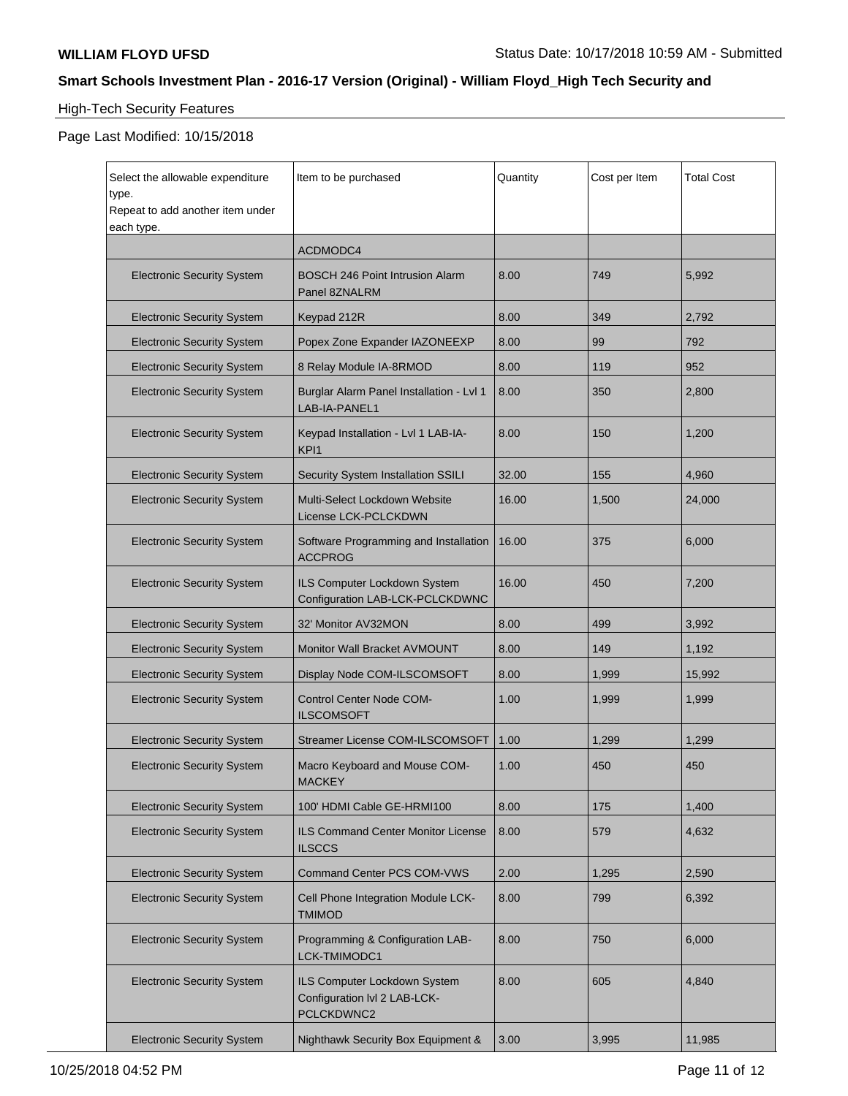# High-Tech Security Features

| Select the allowable expenditure<br>type.<br>Repeat to add another item under<br>each type. | Item to be purchased                                                       | Quantity | Cost per Item | <b>Total Cost</b> |
|---------------------------------------------------------------------------------------------|----------------------------------------------------------------------------|----------|---------------|-------------------|
|                                                                                             | ACDMODC4                                                                   |          |               |                   |
| <b>Electronic Security System</b>                                                           | <b>BOSCH 246 Point Intrusion Alarm</b><br>Panel 8ZNALRM                    | 8.00     | 749           | 5,992             |
| <b>Electronic Security System</b>                                                           | Keypad 212R                                                                | 8.00     | 349           | 2,792             |
| <b>Electronic Security System</b>                                                           | Popex Zone Expander IAZONEEXP                                              | 8.00     | 99            | 792               |
| <b>Electronic Security System</b>                                                           | 8 Relay Module IA-8RMOD                                                    | 8.00     | 119           | 952               |
| <b>Electronic Security System</b>                                                           | Burglar Alarm Panel Installation - Lvl 1<br>LAB-IA-PANEL1                  | 8.00     | 350           | 2,800             |
| <b>Electronic Security System</b>                                                           | Keypad Installation - Lvl 1 LAB-IA-<br>KPI1                                | 8.00     | 150           | 1,200             |
| <b>Electronic Security System</b>                                                           | Security System Installation SSILI                                         | 32.00    | 155           | 4,960             |
| <b>Electronic Security System</b>                                                           | Multi-Select Lockdown Website<br>License LCK-PCLCKDWN                      | 16.00    | 1,500         | 24,000            |
| <b>Electronic Security System</b>                                                           | Software Programming and Installation<br><b>ACCPROG</b>                    | 16.00    | 375           | 6,000             |
| <b>Electronic Security System</b>                                                           | ILS Computer Lockdown System<br>Configuration LAB-LCK-PCLCKDWNC            | 16.00    | 450           | 7,200             |
| <b>Electronic Security System</b>                                                           | 32' Monitor AV32MON                                                        | 8.00     | 499           | 3,992             |
| <b>Electronic Security System</b>                                                           | Monitor Wall Bracket AVMOUNT                                               | 8.00     | 149           | 1,192             |
| <b>Electronic Security System</b>                                                           | Display Node COM-ILSCOMSOFT                                                | 8.00     | 1,999         | 15,992            |
| <b>Electronic Security System</b>                                                           | <b>Control Center Node COM-</b><br><b>ILSCOMSOFT</b>                       | 1.00     | 1,999         | 1,999             |
| <b>Electronic Security System</b>                                                           | Streamer License COM-ILSCOMSOFT                                            | 1.00     | 1,299         | 1,299             |
| <b>Electronic Security System</b>                                                           | Macro Keyboard and Mouse COM-<br><b>MACKEY</b>                             | 1.00     | 450           | 450               |
| <b>Electronic Security System</b>                                                           | 100' HDMI Cable GE-HRMI100                                                 | 8.00     | 175           | 1,400             |
| <b>Electronic Security System</b>                                                           | ILS Command Center Monitor License<br><b>ILSCCS</b>                        | 8.00     | 579           | 4,632             |
| <b>Electronic Security System</b>                                                           | <b>Command Center PCS COM-VWS</b>                                          | 2.00     | 1,295         | 2,590             |
| <b>Electronic Security System</b>                                                           | Cell Phone Integration Module LCK-<br><b>TMIMOD</b>                        | 8.00     | 799           | 6,392             |
| <b>Electronic Security System</b>                                                           | Programming & Configuration LAB-<br>LCK-TMIMODC1                           | 8.00     | 750           | 6,000             |
| <b>Electronic Security System</b>                                                           | ILS Computer Lockdown System<br>Configuration IvI 2 LAB-LCK-<br>PCLCKDWNC2 | 8.00     | 605           | 4,840             |
| <b>Electronic Security System</b>                                                           | Nighthawk Security Box Equipment &                                         | 3.00     | 3,995         | 11,985            |